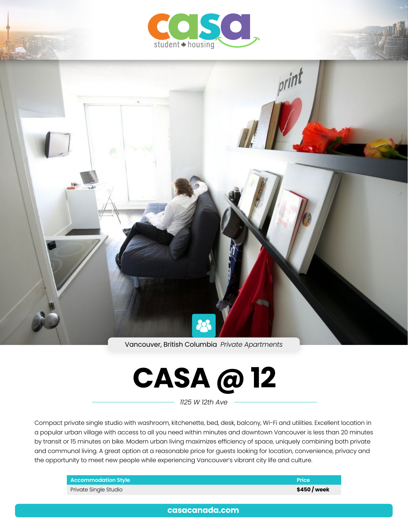



Vancouver, British Columbia *Private Apartments*



*1125 W 12th Ave*

Compact private single studio with washroom, kitchenette, bed, desk, balcony, Wi-Fi and utilities. Excellent location in a popular urban village with access to all you need within minutes and downtown Vancouver is less than 20 minutes by transit or 15 minutes on bike. Modern urban living maximizes efficiency of space, uniquely combining both private and communal living. A great option at a reasonable price for guests looking for location, convenience, privacy and the opportunity to meet new people while experiencing Vancouver's vibrant city life and culture.

| <b>Accommodation Style</b> | Price        |
|----------------------------|--------------|
| Private Single Studio      | \$450 / week |

**[casacanada.com](https://casacanada.com/)**